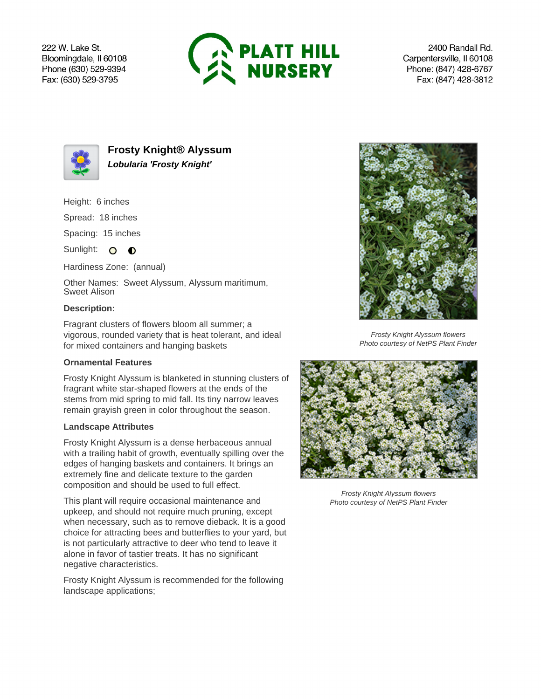222 W. Lake St. Bloomingdale, Il 60108 Phone (630) 529-9394 Fax: (630) 529-3795



2400 Randall Rd. Carpentersville, Il 60108 Phone: (847) 428-6767 Fax: (847) 428-3812



**Frosty Knight® Alyssum Lobularia 'Frosty Knight'**

Height: 6 inches

Spread: 18 inches

Spacing: 15 inches

Sunlight: O **O** 

Hardiness Zone: (annual)

Other Names: Sweet Alyssum, Alyssum maritimum, Sweet Alison

## **Description:**

Fragrant clusters of flowers bloom all summer; a vigorous, rounded variety that is heat tolerant, and ideal for mixed containers and hanging baskets

## **Ornamental Features**

Frosty Knight Alyssum is blanketed in stunning clusters of fragrant white star-shaped flowers at the ends of the stems from mid spring to mid fall. Its tiny narrow leaves remain grayish green in color throughout the season.

## **Landscape Attributes**

Frosty Knight Alyssum is a dense herbaceous annual with a trailing habit of growth, eventually spilling over the edges of hanging baskets and containers. It brings an extremely fine and delicate texture to the garden composition and should be used to full effect.

This plant will require occasional maintenance and upkeep, and should not require much pruning, except when necessary, such as to remove dieback. It is a good choice for attracting bees and butterflies to your yard, but is not particularly attractive to deer who tend to leave it alone in favor of tastier treats. It has no significant negative characteristics.

Frosty Knight Alyssum is recommended for the following landscape applications;



Frosty Knight Alyssum flowers Photo courtesy of NetPS Plant Finder



Frosty Knight Alyssum flowers Photo courtesy of NetPS Plant Finder